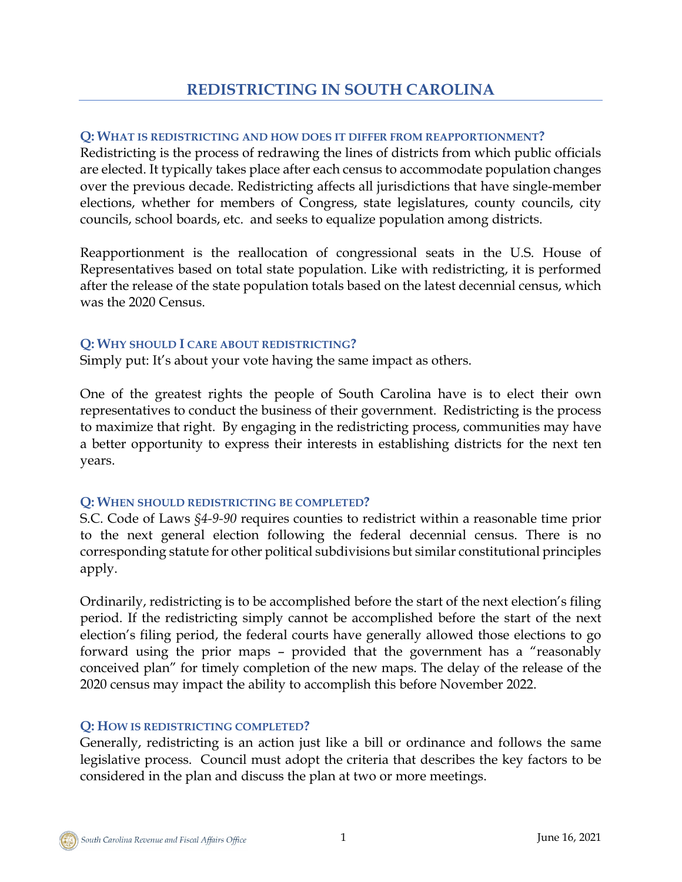# **Q: WHAT IS REDISTRICTING AND HOW DOES IT DIFFER FROM REAPPORTIONMENT?**

Redistricting is the process of redrawing the lines of districts from which public officials are elected. It typically takes place after each census to accommodate population changes over the previous decade. Redistricting affects all jurisdictions that have single-member elections, whether for members of Congress, state legislatures, county councils, city councils, school boards, etc. and seeks to equalize population among districts.

Reapportionment is the reallocation of congressional seats in the U.S. House of Representatives based on total state population. Like with redistricting, it is performed after the release of the state population totals based on the latest decennial census, which was the 2020 Census.

### **Q: WHY SHOULD I CARE ABOUT REDISTRICTING?**

Simply put: It's about your vote having the same impact as others.

One of the greatest rights the people of South Carolina have is to elect their own representatives to conduct the business of their government. Redistricting is the process to maximize that right. By engaging in the redistricting process, communities may have a better opportunity to express their interests in establishing districts for the next ten years.

# **Q: WHEN SHOULD REDISTRICTING BE COMPLETED?**

S.C. Code of Laws *§4-9-90* requires counties to redistrict within a reasonable time prior to the next general election following the federal decennial census. There is no corresponding statute for other political subdivisions but similar constitutional principles apply.

Ordinarily, redistricting is to be accomplished before the start of the next election's filing period. If the redistricting simply cannot be accomplished before the start of the next election's filing period, the federal courts have generally allowed those elections to go forward using the prior maps – provided that the government has a "reasonably conceived plan" for timely completion of the new maps. The delay of the release of the 2020 census may impact the ability to accomplish this before November 2022.

# **Q: HOW IS REDISTRICTING COMPLETED?**

Generally, redistricting is an action just like a bill or ordinance and follows the same legislative process. Council must adopt the criteria that describes the key factors to be considered in the plan and discuss the plan at two or more meetings.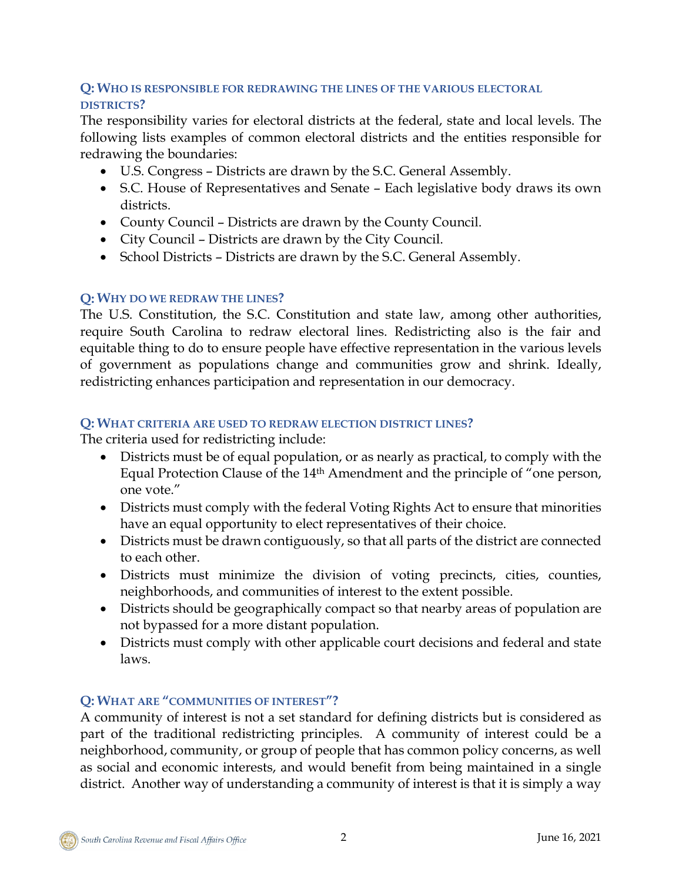### **Q: WHO IS RESPONSIBLE FOR REDRAWING THE LINES OF THE VARIOUS ELECTORAL DISTRICTS?**

The responsibility varies for electoral districts at the federal, state and local levels. The following lists examples of common electoral districts and the entities responsible for redrawing the boundaries:

- U.S. Congress Districts are drawn by the S.C. General Assembly.
- S.C. House of Representatives and Senate Each legislative body draws its own districts.
- County Council Districts are drawn by the County Council.
- City Council Districts are drawn by the City Council.
- School Districts Districts are drawn by the S.C. General Assembly.

### **Q: WHY DO WE REDRAW THE LINES?**

The U.S. Constitution, the S.C. Constitution and state law, among other authorities, require South Carolina to redraw electoral lines. Redistricting also is the fair and equitable thing to do to ensure people have effective representation in the various levels of government as populations change and communities grow and shrink. Ideally, redistricting enhances participation and representation in our democracy.

#### **Q: WHAT CRITERIA ARE USED TO REDRAW ELECTION DISTRICT LINES?**

The criteria used for redistricting include:

- Districts must be of equal population, or as nearly as practical, to comply with the Equal Protection Clause of the 14th Amendment and the principle of "one person, one vote."
- Districts must comply with the federal Voting Rights Act to ensure that minorities have an equal opportunity to elect representatives of their choice.
- Districts must be drawn contiguously, so that all parts of the district are connected to each other.
- Districts must minimize the division of voting precincts, cities, counties, neighborhoods, and communities of interest to the extent possible.
- Districts should be geographically compact so that nearby areas of population are not bypassed for a more distant population.
- Districts must comply with other applicable court decisions and federal and state laws.

# **Q: WHAT ARE "COMMUNITIES OF INTEREST"?**

A community of interest is not a set standard for defining districts but is considered as part of the traditional redistricting principles. A community of interest could be a neighborhood, community, or group of people that has common policy concerns, as well as social and economic interests, and would benefit from being maintained in a single district. Another way of understanding a community of interest is that it is simply a way